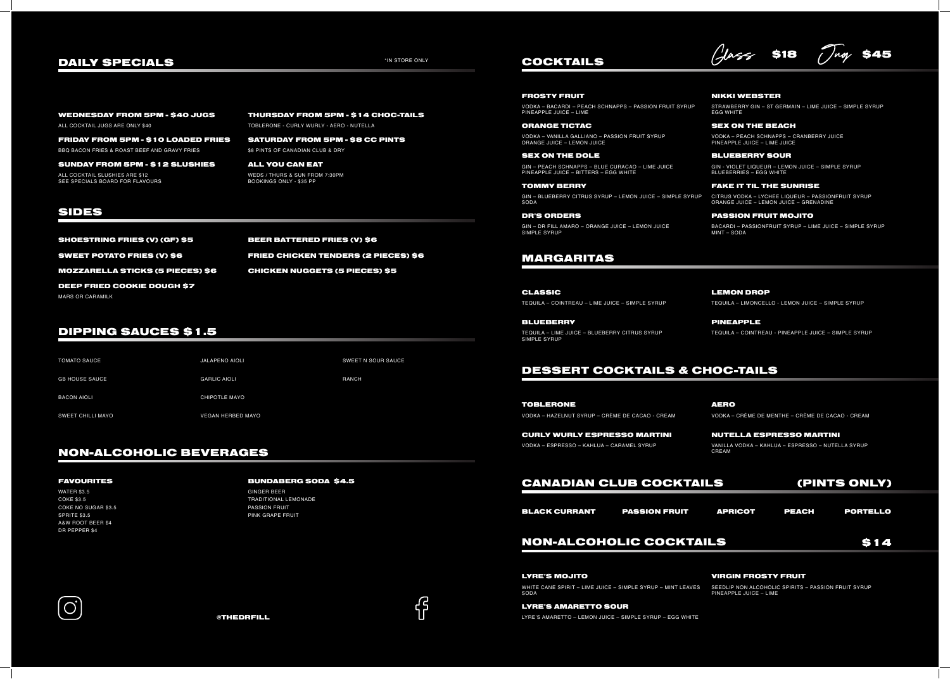# DIPPING SAUCES \$1.5

# NON-ALCOHOLIC BEVERAGES

# FAVOURITES BUNDABERG SODA \$4.5

WATER \$3.5 COKE \$3.5 COKE NO SUGAR \$3.5 SPRITE \$3.5 A&W ROOT BEER \$4 DR PEPPER \$4

GINGER BEER TRADITIONAL LEMONADE PASSION FRUIT PINK GRAPE FRUIT





# CANADIAN CLUB COCKTAILS

SEX ON THE DOLE GIN – PEACH SCHNAPPS – BLUE CURACAO – LIME JUICE PINEAPPLE JUICE – BITTERS – EGG WHITE

ORANGE TICTAC SEX ON THE BEACH VODKA – VANILLA GALLIANO – PASSION FRUIT SYRUP ORANGE JUICE – LEMON JUICE

## BLUEBERRY SOUR

# COCKTAILS

DAILY SPECIALS TIN STORE ONLY SAS

## NIKKI WEBSTER

STRAWBERRY GIN – ST GERMAIN – LIME JUICE – SIMPLE SYRUP EGG WHITE

BLUEBERRY **External Structure of the SCIENCE PINEAPPLE** TEQUILA – LIME JUICE – BLUEBERRY CITRUS SYRUP SIMPLE SYRUP

# FROSTY FRUIT

VODKA – BACARDI – PEACH SCHNAPPS – PASSION FRUIT SYRUP PINEAPPLE JUICE – LIME

> VODKA – PEACH SCHNAPPS – CRANBERRY JUICE PINEAPPLE JUICE – LIME JUICE

# MARGARITAS

LEMON DROP TEQUILA – LIMONCELLO - LEMON JUICE – SIMPLE SYRUP

CLASSIC TEQUILA – COINTREAU – LIME JUICE – SIMPLE SYRUP

TEQUILA – COINTREAU - PINEAPPLE JUICE – SIMPLE SYRUP

# DESSERT COCKTAILS & CHOC-TAILS

TOMMY BERRY GIN – BLUEBERRY CITRUS SYRUP – LEMON JUICE – SIMPLE SYRUP SODA

> AERO VODKA – CRÈME DE MENTHE – CRÈME DE CACAO - CREAM

CURLY WURLY ESPRESSO MARTINI NUTELLA ESPRESSO MARTINI

SHOESTRING FRIES (V) (GF) \$5 BEER BATTERED FRIES (V) \$6 MOZZARELLA STICKS (5 PIECES) \$6 SWEET POTATO FRIES (V) \$6 MARS OR CARAMILK DEEP FRIED COOKIE DOUGH \$7

> TOBLERONE VODKA – HAZELNUT SYRUP – CRÈME DE CACAO - CREAM

FRIDAY FROM 5PM - \$10 LOADED FRIES SATURDAY FROM 5PM - \$8 CC PINTS BBQ BACON FRIES & ROAST BEEF AND GRAVY FRIES  $\begin{array}{ccc} 18 & 10 & 20 \\ 30 & 20 & 20 & 20 \\ 40 & 50 & 20 & 20 \\ 50 & 60 & 30 & 20 \\ 60 & 60 & 60 & 20 \\ 30 & 60 & 60 & 20 \\ 60 & 60 & 60 & 20 \\ 30 & 60 & 60 & 20 \\ 60 & 60 & 60 & 20 \\ 60 & 60 & 60 & 20 \\ 60 & 60 & 60 &$ 

> VODKA – ESPRESSO – KAHLUA – CARAMEL SYRUP VANILLA VODKA – KAHLUA – ESPRESSO – NUTELLA SYRUP CREAM

# NON-ALCOHOLIC COCKTAILS

# VIRGIN FROSTY FRUIT

SEEDLIP NON ALCOHOLIC SPIRITS – PASSION FRUIT SYRUP PINEAPPLE JUICE – LIME



### LYRE'S MOJITO

### LYRE'S AMARETTO SOUR

WHITE CANE SPIRIT – LIME JUICE – SIMPLE SYRUP – MINT LEAVES SODA

LYRE'S AMARETTO – LEMON JUICE – SIMPLE SYRUP – EGG WHITE

GIN - VIOLET LIQUEUR – LEMON JUICE – SIMPLE SYRUP BLUEBERRIES – EGG WHITE

DR'S ORDERS GIN – DR FILL AMARO – ORANGE JUICE – LEMON JUICE SIMPLE SYRUP

(PINTS ONLY)





### FAKE IT TIL THE SUNRISE

### PASSION FRUIT MOJITO

CITRUS VODKA – LYCHEE LIQUEUR – PASSIONFRUIT SYRUP ORANGE JUICE – LEMON JUICE – GRENADINE

BACARDI – PASSIONFRUIT SYRUP – LIME JUICE – SIMPLE SYRUP MINT – SODA

ALL COCKTAIL JUGS ARE ONLY \$40 TOBLERONE - CURLY WURLY - AERO - NUTELLA

# SIDES

CHICKEN NUGGETS (5 PIECES) \$5 FRIED CHICKEN TENDERS (2 PIECES) \$6

SUNDAY FROM 5PM - \$12 SLUSHIES ALL COCKTAIL SLUSHIES ARE \$12 SEE SPECIALS BOARD FOR FLAVOURS

WEDNESDAY FROM 5PM - \$40 JUGS THURSDAY FROM 5PM - \$14 CHOC-TAILS

ALL YOU CAN EAT WEDS / THURS & SUN FROM 7:30PM BOOKINGS ONLY - \$35 PP

JALAPENO AIOLI

GARLIC AIOLI

CHIPOTLE MAYO

VEGAN HERBED MAYO

SWEET N SOUR SAUCE

RANCH

TOMATO SAUCE

GB HOUSE SAUCE

BACON AIOLI

SWEET CHILLI MAYO

BLACK CURRANT PASSION FRUIT APRICOT PEACH PORTELLO